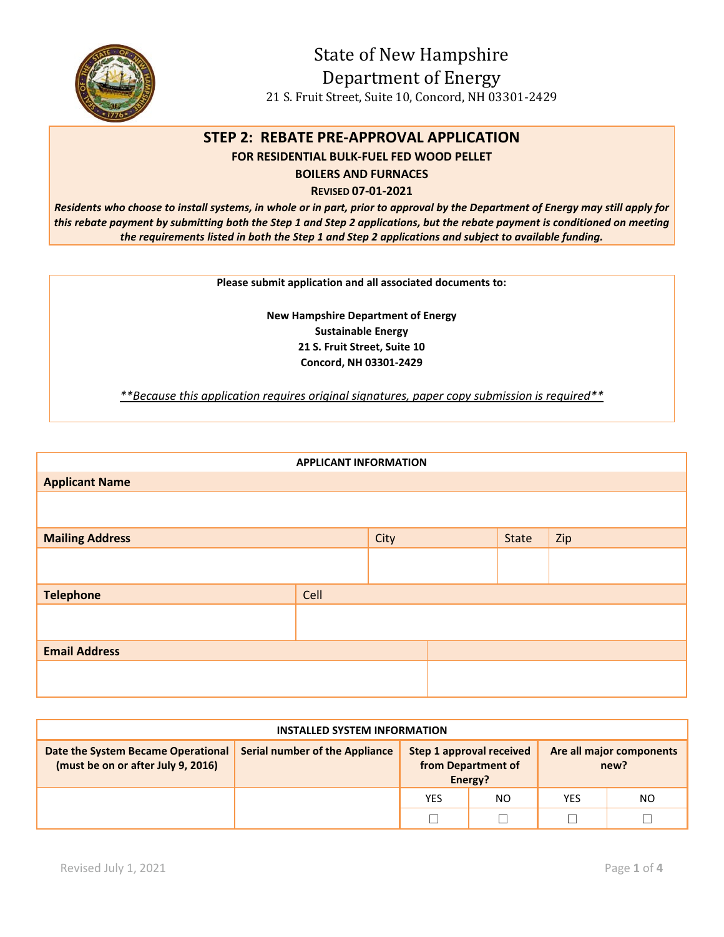

State of New Hampshire Department of Energy 21 S. Fruit Street, Suite 10, Concord, NH 03301-2429

## **STEP 2: REBATE PRE-APPROVAL APPLICATION**

**FOR RESIDENTIAL BULK-FUEL FED WOOD PELLET** 

**BOILERS AND FURNACES**

**REVISED 07-01-2021** 

*Residents who choose to install systems, in whole or in part, prior to approval by the Department of Energy may still apply for this rebate payment by submitting both the Step 1 and Step 2 applications, but the rebate payment is conditioned on meeting the requirements listed in both the Step 1 and Step 2 applications and subject to available funding.*

**Please submit application and all associated documents to:** 

**New Hampshire Department of Energy Sustainable Energy 21 S. Fruit Street, Suite 10 Concord, NH 03301-2429** 

*\*\*Because this application requires original signatures, paper copy submission is required\*\** 

| <b>APPLICANT INFORMATION</b> |      |      |  |       |     |  |
|------------------------------|------|------|--|-------|-----|--|
| <b>Applicant Name</b>        |      |      |  |       |     |  |
|                              |      |      |  |       |     |  |
| <b>Mailing Address</b>       |      | City |  | State | Zip |  |
|                              |      |      |  |       |     |  |
| <b>Telephone</b>             | Cell |      |  |       |     |  |
|                              |      |      |  |       |     |  |
| <b>Email Address</b>         |      |      |  |       |     |  |
|                              |      |      |  |       |     |  |

| <b>INSTALLED SYSTEM INFORMATION</b>                                      |                                       |                                                           |     |                                  |     |  |
|--------------------------------------------------------------------------|---------------------------------------|-----------------------------------------------------------|-----|----------------------------------|-----|--|
| Date the System Became Operational<br>(must be on or after July 9, 2016) | <b>Serial number of the Appliance</b> | Step 1 approval received<br>from Department of<br>Energy? |     | Are all major components<br>new? |     |  |
|                                                                          |                                       | <b>YES</b>                                                | NO. | <b>YES</b>                       | NO. |  |
|                                                                          |                                       |                                                           |     |                                  |     |  |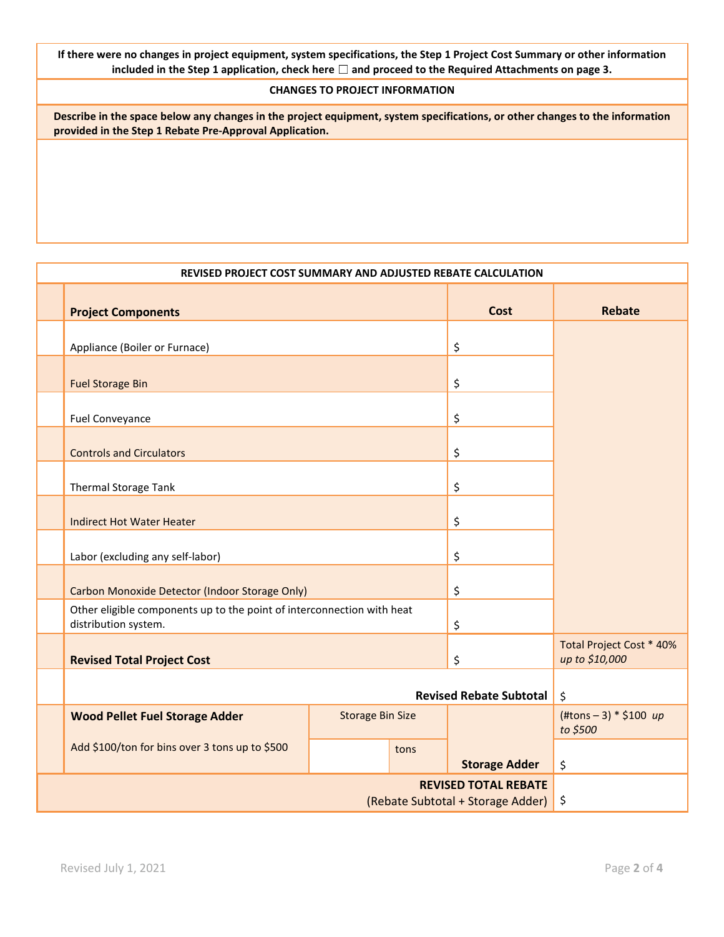**If there were no changes in project equipment, system specifications, the Step 1 Project Cost Summary or other information included in the Step 1 application, check here** ☐ **and proceed to the Required Attachments on page 3.**

## **CHANGES TO PROJECT INFORMATION**

**Describe in the space below any changes in the project equipment, system specifications, or other changes to the information provided in the Step 1 Rebate Pre-Approval Application.** 

| REVISED PROJECT COST SUMMARY AND ADJUSTED REBATE CALCULATION     |                                                                                                |                         |             |                      |                                                    |
|------------------------------------------------------------------|------------------------------------------------------------------------------------------------|-------------------------|-------------|----------------------|----------------------------------------------------|
|                                                                  | <b>Project Components</b>                                                                      |                         | <b>Cost</b> | <b>Rebate</b>        |                                                    |
|                                                                  | Appliance (Boiler or Furnace)                                                                  |                         |             | \$                   |                                                    |
|                                                                  | <b>Fuel Storage Bin</b>                                                                        |                         |             | \$                   |                                                    |
|                                                                  | <b>Fuel Conveyance</b>                                                                         |                         |             | \$                   |                                                    |
|                                                                  | <b>Controls and Circulators</b>                                                                |                         |             | \$                   |                                                    |
|                                                                  | Thermal Storage Tank                                                                           |                         |             | \$                   |                                                    |
|                                                                  | <b>Indirect Hot Water Heater</b>                                                               |                         |             | \$                   |                                                    |
|                                                                  | Labor (excluding any self-labor)                                                               |                         | \$          |                      |                                                    |
|                                                                  | Carbon Monoxide Detector (Indoor Storage Only)                                                 |                         |             | \$                   |                                                    |
|                                                                  | Other eligible components up to the point of interconnection with heat<br>distribution system. |                         |             | \$                   |                                                    |
|                                                                  | <b>Revised Total Project Cost</b>                                                              |                         |             | \$                   | Total Project Cost * 40%<br>up to \$10,000         |
|                                                                  |                                                                                                | $\zeta$                 |             |                      |                                                    |
|                                                                  | <b>Wood Pellet Fuel Storage Adder</b>                                                          | <b>Storage Bin Size</b> |             |                      | $(\text{ttons} - 3) * $100 \text{ up}$<br>to \$500 |
|                                                                  | Add \$100/ton for bins over 3 tons up to \$500                                                 |                         | tons        | <b>Storage Adder</b> | \$                                                 |
| <b>REVISED TOTAL REBATE</b><br>(Rebate Subtotal + Storage Adder) |                                                                                                |                         |             | \$                   |                                                    |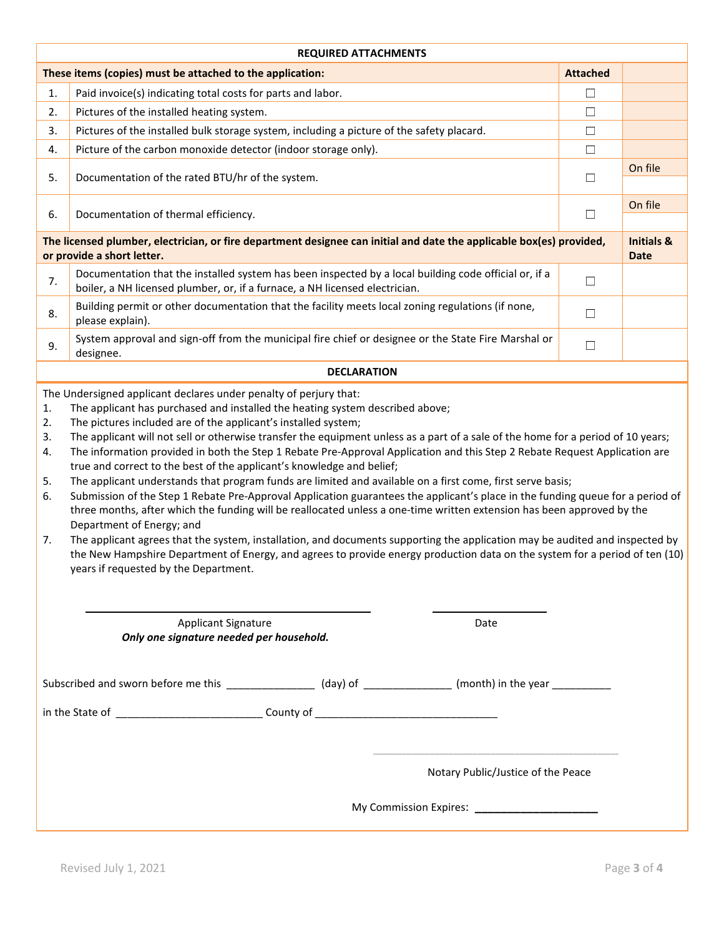| <b>REQUIRED ATTACHMENTS</b>                                                                                                                                                                                                                                                                                                                                                                                                                                                                                                                                                                                                                                                                                                                                                                                                                                                                                                                                                                                                                                                                                                                                  |                                                                                                                                                                                                 |                 |                                      |  |  |  |
|--------------------------------------------------------------------------------------------------------------------------------------------------------------------------------------------------------------------------------------------------------------------------------------------------------------------------------------------------------------------------------------------------------------------------------------------------------------------------------------------------------------------------------------------------------------------------------------------------------------------------------------------------------------------------------------------------------------------------------------------------------------------------------------------------------------------------------------------------------------------------------------------------------------------------------------------------------------------------------------------------------------------------------------------------------------------------------------------------------------------------------------------------------------|-------------------------------------------------------------------------------------------------------------------------------------------------------------------------------------------------|-----------------|--------------------------------------|--|--|--|
|                                                                                                                                                                                                                                                                                                                                                                                                                                                                                                                                                                                                                                                                                                                                                                                                                                                                                                                                                                                                                                                                                                                                                              | These items (copies) must be attached to the application:                                                                                                                                       | <b>Attached</b> |                                      |  |  |  |
| 1.                                                                                                                                                                                                                                                                                                                                                                                                                                                                                                                                                                                                                                                                                                                                                                                                                                                                                                                                                                                                                                                                                                                                                           | Paid invoice(s) indicating total costs for parts and labor.                                                                                                                                     | $\Box$          |                                      |  |  |  |
| 2.                                                                                                                                                                                                                                                                                                                                                                                                                                                                                                                                                                                                                                                                                                                                                                                                                                                                                                                                                                                                                                                                                                                                                           | Pictures of the installed heating system.                                                                                                                                                       | $\Box$          |                                      |  |  |  |
| 3.                                                                                                                                                                                                                                                                                                                                                                                                                                                                                                                                                                                                                                                                                                                                                                                                                                                                                                                                                                                                                                                                                                                                                           | Pictures of the installed bulk storage system, including a picture of the safety placard.                                                                                                       | $\Box$          |                                      |  |  |  |
| 4.                                                                                                                                                                                                                                                                                                                                                                                                                                                                                                                                                                                                                                                                                                                                                                                                                                                                                                                                                                                                                                                                                                                                                           | Picture of the carbon monoxide detector (indoor storage only).                                                                                                                                  | $\Box$          |                                      |  |  |  |
| 5.                                                                                                                                                                                                                                                                                                                                                                                                                                                                                                                                                                                                                                                                                                                                                                                                                                                                                                                                                                                                                                                                                                                                                           | Documentation of the rated BTU/hr of the system.                                                                                                                                                | $\Box$          | On file                              |  |  |  |
| 6.                                                                                                                                                                                                                                                                                                                                                                                                                                                                                                                                                                                                                                                                                                                                                                                                                                                                                                                                                                                                                                                                                                                                                           | Documentation of thermal efficiency.                                                                                                                                                            | $\Box$          | On file                              |  |  |  |
|                                                                                                                                                                                                                                                                                                                                                                                                                                                                                                                                                                                                                                                                                                                                                                                                                                                                                                                                                                                                                                                                                                                                                              | The licensed plumber, electrician, or fire department designee can initial and date the applicable box(es) provided,<br>or provide a short letter.                                              |                 | <b>Initials &amp;</b><br><b>Date</b> |  |  |  |
| 7.                                                                                                                                                                                                                                                                                                                                                                                                                                                                                                                                                                                                                                                                                                                                                                                                                                                                                                                                                                                                                                                                                                                                                           | Documentation that the installed system has been inspected by a local building code official or, if a<br>boiler, a NH licensed plumber, or, if a furnace, a NH licensed electrician.            | $\Box$          |                                      |  |  |  |
| 8.                                                                                                                                                                                                                                                                                                                                                                                                                                                                                                                                                                                                                                                                                                                                                                                                                                                                                                                                                                                                                                                                                                                                                           | Building permit or other documentation that the facility meets local zoning regulations (if none,<br>please explain).                                                                           | $\Box$          |                                      |  |  |  |
| 9.                                                                                                                                                                                                                                                                                                                                                                                                                                                                                                                                                                                                                                                                                                                                                                                                                                                                                                                                                                                                                                                                                                                                                           | System approval and sign-off from the municipal fire chief or designee or the State Fire Marshal or<br>designee.                                                                                | $\Box$          |                                      |  |  |  |
|                                                                                                                                                                                                                                                                                                                                                                                                                                                                                                                                                                                                                                                                                                                                                                                                                                                                                                                                                                                                                                                                                                                                                              | <b>DECLARATION</b>                                                                                                                                                                              |                 |                                      |  |  |  |
| The pictures included are of the applicant's installed system;<br>2.<br>The applicant will not sell or otherwise transfer the equipment unless as a part of a sale of the home for a period of 10 years;<br>3.<br>The information provided in both the Step 1 Rebate Pre-Approval Application and this Step 2 Rebate Request Application are<br>4.<br>true and correct to the best of the applicant's knowledge and belief;<br>The applicant understands that program funds are limited and available on a first come, first serve basis;<br>5.<br>Submission of the Step 1 Rebate Pre-Approval Application guarantees the applicant's place in the funding queue for a period of<br>6.<br>three months, after which the funding will be reallocated unless a one-time written extension has been approved by the<br>Department of Energy; and<br>The applicant agrees that the system, installation, and documents supporting the application may be audited and inspected by<br>7.<br>the New Hampshire Department of Energy, and agrees to provide energy production data on the system for a period of ten (10)<br>years if requested by the Department. |                                                                                                                                                                                                 |                 |                                      |  |  |  |
|                                                                                                                                                                                                                                                                                                                                                                                                                                                                                                                                                                                                                                                                                                                                                                                                                                                                                                                                                                                                                                                                                                                                                              | <b>Applicant Signature</b><br>Date<br>Only one signature needed per household.<br>Subscribed and sworn before me this _________________ (day) of _______________ (month) in the year __________ |                 |                                      |  |  |  |
|                                                                                                                                                                                                                                                                                                                                                                                                                                                                                                                                                                                                                                                                                                                                                                                                                                                                                                                                                                                                                                                                                                                                                              | Notary Public/Justice of the Peace                                                                                                                                                              |                 |                                      |  |  |  |
| My Commission Expires: ________________________                                                                                                                                                                                                                                                                                                                                                                                                                                                                                                                                                                                                                                                                                                                                                                                                                                                                                                                                                                                                                                                                                                              |                                                                                                                                                                                                 |                 |                                      |  |  |  |